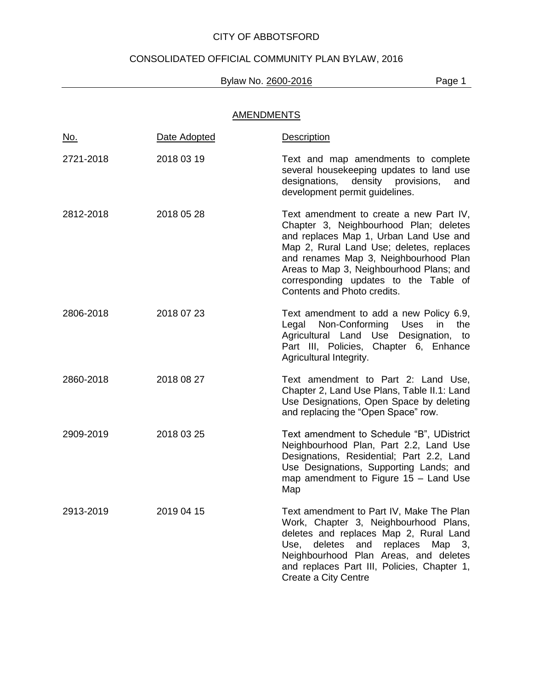# CONSOLIDATED OFFICIAL COMMUNITY PLAN BYLAW, 2016

## Bylaw No. 2600-2016 **Page 1**

## **AMENDMENTS**

| <u>No.</u> | Date Adopted | <b>Description</b>                                                                                                                                                                                                                                                                                                                   |
|------------|--------------|--------------------------------------------------------------------------------------------------------------------------------------------------------------------------------------------------------------------------------------------------------------------------------------------------------------------------------------|
| 2721-2018  | 2018 03 19   | Text and map amendments to complete<br>several housekeeping updates to land use<br>density provisions,<br>designations,<br>and<br>development permit guidelines.                                                                                                                                                                     |
| 2812-2018  | 2018 05 28   | Text amendment to create a new Part IV,<br>Chapter 3, Neighbourhood Plan; deletes<br>and replaces Map 1, Urban Land Use and<br>Map 2, Rural Land Use; deletes, replaces<br>and renames Map 3, Neighbourhood Plan<br>Areas to Map 3, Neighbourhood Plans; and<br>corresponding updates to the Table of<br>Contents and Photo credits. |
| 2806-2018  | 2018 07 23   | Text amendment to add a new Policy 6.9,<br>Non-Conforming Uses<br>Legal<br>in<br>the<br>Agricultural Land Use Designation, to<br>Part III, Policies, Chapter 6, Enhance<br>Agricultural Integrity.                                                                                                                                   |
| 2860-2018  | 2018 08 27   | Text amendment to Part 2: Land Use,<br>Chapter 2, Land Use Plans, Table II.1: Land<br>Use Designations, Open Space by deleting<br>and replacing the "Open Space" row.                                                                                                                                                                |
| 2909-2019  | 2018 03 25   | Text amendment to Schedule "B", UDistrict<br>Neighbourhood Plan, Part 2.2, Land Use<br>Designations, Residential; Part 2.2, Land<br>Use Designations, Supporting Lands; and<br>map amendment to Figure $15 -$ Land Use<br>Map                                                                                                        |
| 2913-2019  | 2019 04 15   | Text amendment to Part IV, Make The Plan<br>Work, Chapter 3, Neighbourhood Plans,<br>deletes and replaces Map 2, Rural Land<br>Use,<br>deletes<br>and<br>replaces<br>Map $3$ ,<br>Neighbourhood Plan Areas, and deletes<br>and replaces Part III, Policies, Chapter 1,<br>Create a City Centre                                       |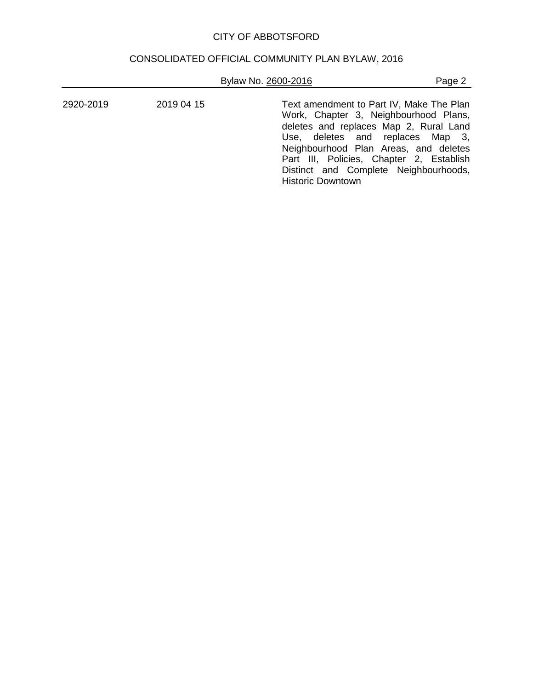# CONSOLIDATED OFFICIAL COMMUNITY PLAN BYLAW, 2016

| Bylaw No. 2600-2016 |  |  |
|---------------------|--|--|
|                     |  |  |

Page 2

| 2920-2019 | 2019 04 15 | Text amendment to Part IV, Make The Plan<br>Work, Chapter 3, Neighbourhood Plans,<br>deletes and replaces Map 2, Rural Land<br>Use, deletes and replaces Map 3,<br>Neighbourhood Plan Areas, and deletes<br>Part III, Policies, Chapter 2, Establish<br>Distinct and Complete Neighbourhoods,<br><b>Historic Downtown</b> |
|-----------|------------|---------------------------------------------------------------------------------------------------------------------------------------------------------------------------------------------------------------------------------------------------------------------------------------------------------------------------|
|           |            |                                                                                                                                                                                                                                                                                                                           |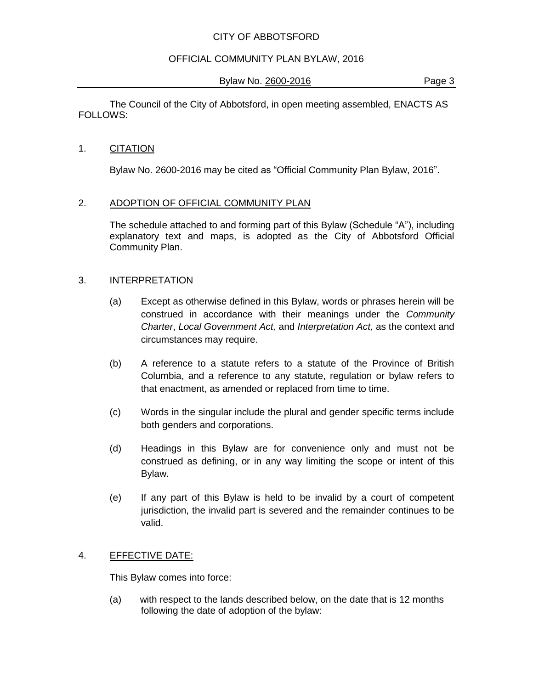## OFFICIAL COMMUNITY PLAN BYLAW, 2016

Bylaw No. 2600-2016 **Page 3** 

The Council of the City of Abbotsford, in open meeting assembled, ENACTS AS FOLLOWS:

## 1. CITATION

Bylaw No. 2600-2016 may be cited as "Official Community Plan Bylaw, 2016".

## 2. ADOPTION OF OFFICIAL COMMUNITY PLAN

The schedule attached to and forming part of this Bylaw (Schedule "A"), including explanatory text and maps, is adopted as the City of Abbotsford Official Community Plan.

## 3. INTERPRETATION

- (a) Except as otherwise defined in this Bylaw, words or phrases herein will be construed in accordance with their meanings under the *Community Charter*, *Local Government Act,* and *Interpretation Act,* as the context and circumstances may require.
- (b) A reference to a statute refers to a statute of the Province of British Columbia, and a reference to any statute, regulation or bylaw refers to that enactment, as amended or replaced from time to time.
- (c) Words in the singular include the plural and gender specific terms include both genders and corporations.
- (d) Headings in this Bylaw are for convenience only and must not be construed as defining, or in any way limiting the scope or intent of this Bylaw.
- (e) If any part of this Bylaw is held to be invalid by a court of competent jurisdiction, the invalid part is severed and the remainder continues to be valid.

## 4. EFFECTIVE DATE:

This Bylaw comes into force:

(a) with respect to the lands described below, on the date that is 12 months following the date of adoption of the bylaw: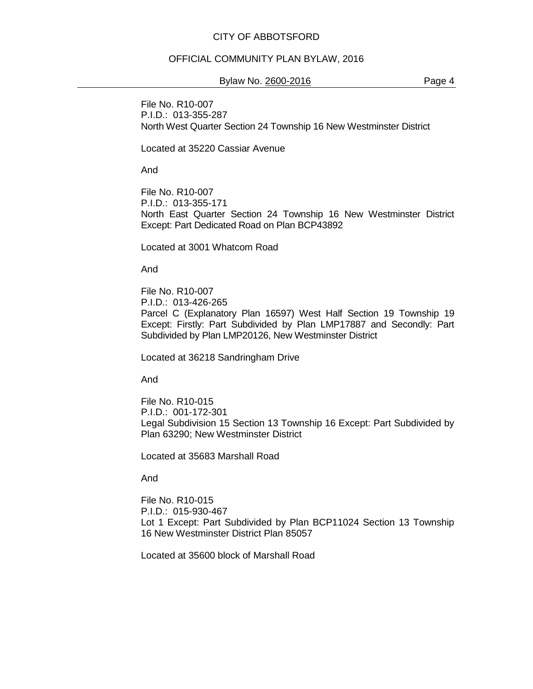#### OFFICIAL COMMUNITY PLAN BYLAW, 2016

#### Bylaw No. 2600-2016 **Page 4**

File No. R10-007 P.I.D.: 013-355-287 North West Quarter Section 24 Township 16 New Westminster District

Located at 35220 Cassiar Avenue

And

File No. R10-007 P.I.D.: 013-355-171 North East Quarter Section 24 Township 16 New Westminster District Except: Part Dedicated Road on Plan BCP43892

Located at 3001 Whatcom Road

And

File No. R10-007 P.I.D.: 013-426-265 Parcel C (Explanatory Plan 16597) West Half Section 19 Township 19 Except: Firstly: Part Subdivided by Plan LMP17887 and Secondly: Part Subdivided by Plan LMP20126, New Westminster District

Located at 36218 Sandringham Drive

And

File No. R10-015 P.I.D.: 001-172-301 Legal Subdivision 15 Section 13 Township 16 Except: Part Subdivided by Plan 63290; New Westminster District

Located at 35683 Marshall Road

And

File No. R10-015 P.I.D.: 015-930-467 Lot 1 Except: Part Subdivided by Plan BCP11024 Section 13 Township 16 New Westminster District Plan 85057

Located at 35600 block of Marshall Road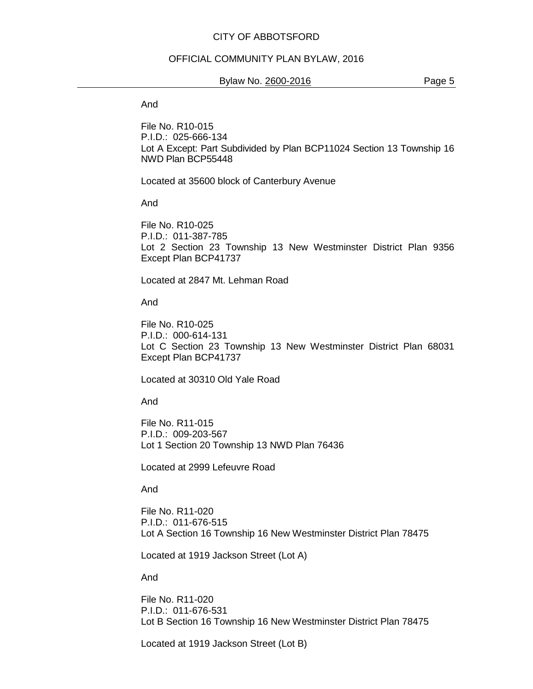#### OFFICIAL COMMUNITY PLAN BYLAW, 2016

#### Bylaw No. 2600-2016 **Page 5**

And

File No. R10-015 P.I.D.: 025-666-134 Lot A Except: Part Subdivided by Plan BCP11024 Section 13 Township 16 NWD Plan BCP55448

Located at 35600 block of Canterbury Avenue

And

File No. R10-025 P.I.D.: 011-387-785 Lot 2 Section 23 Township 13 New Westminster District Plan 9356 Except Plan BCP41737

Located at 2847 Mt. Lehman Road

And

File No. R10-025 P.I.D.: 000-614-131 Lot C Section 23 Township 13 New Westminster District Plan 68031 Except Plan BCP41737

Located at 30310 Old Yale Road

And

File No. R11-015 P.I.D.: 009-203-567 Lot 1 Section 20 Township 13 NWD Plan 76436

Located at 2999 Lefeuvre Road

And

File No. R11-020 P.I.D.: 011-676-515 Lot A Section 16 Township 16 New Westminster District Plan 78475

Located at 1919 Jackson Street (Lot A)

And

File No. R11-020 P.I.D.: 011-676-531 Lot B Section 16 Township 16 New Westminster District Plan 78475

Located at 1919 Jackson Street (Lot B)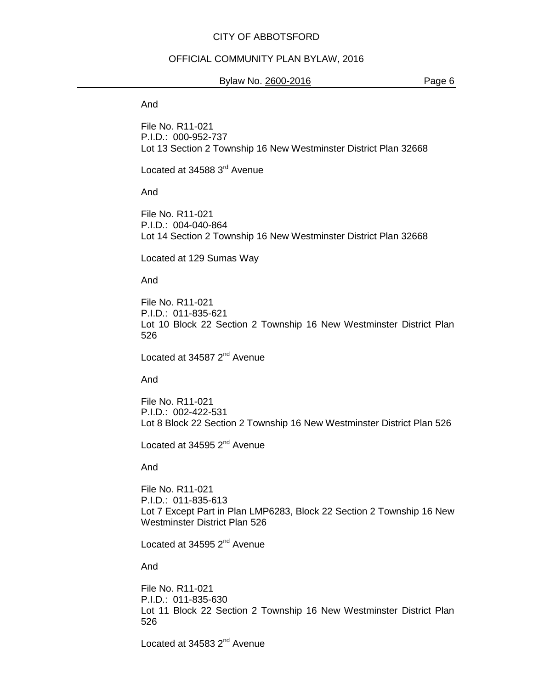#### OFFICIAL COMMUNITY PLAN BYLAW, 2016

#### Bylaw No. 2600-2016 **Page 6**

And

File No. R11-021 P.I.D.: 000-952-737 Lot 13 Section 2 Township 16 New Westminster District Plan 32668

Located at 34588 3<sup>rd</sup> Avenue

And

File No. R11-021 P.I.D.: 004-040-864 Lot 14 Section 2 Township 16 New Westminster District Plan 32668

Located at 129 Sumas Way

And

File No. R11-021 P.I.D.: 011-835-621 Lot 10 Block 22 Section 2 Township 16 New Westminster District Plan 526

Located at 34587 2<sup>nd</sup> Avenue

And

File No. R11-021 P.I.D.: 002-422-531 Lot 8 Block 22 Section 2 Township 16 New Westminster District Plan 526

Located at 34595  $2<sup>nd</sup>$  Avenue

And

File No. R11-021 P.I.D.: 011-835-613 Lot 7 Except Part in Plan LMP6283, Block 22 Section 2 Township 16 New Westminster District Plan 526

Located at 34595 2<sup>nd</sup> Avenue

And

File No. R11-021 P.I.D.: 011-835-630 Lot 11 Block 22 Section 2 Township 16 New Westminster District Plan 526

Located at 34583 2<sup>nd</sup> Avenue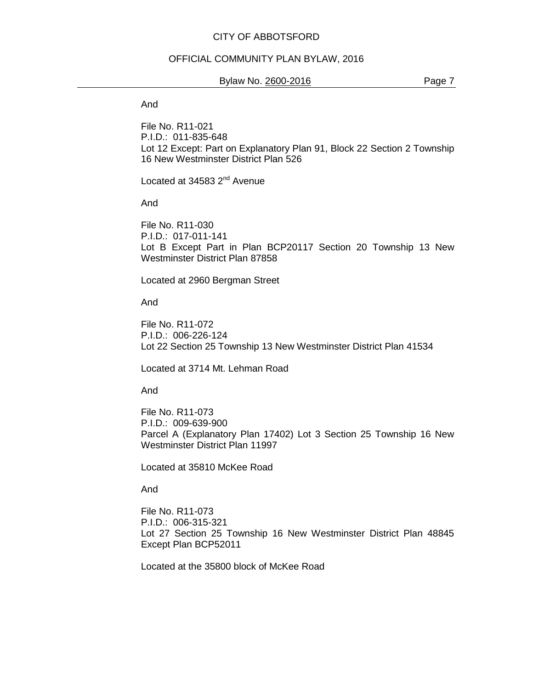#### OFFICIAL COMMUNITY PLAN BYLAW, 2016

#### Bylaw No. 2600-2016 **Page 7**

And

File No. R11-021 P.I.D.: 011-835-648 Lot 12 Except: Part on Explanatory Plan 91, Block 22 Section 2 Township 16 New Westminster District Plan 526

Located at 34583 2<sup>nd</sup> Avenue

And

File No. R11-030 P.I.D.: 017-011-141 Lot B Except Part in Plan BCP20117 Section 20 Township 13 New Westminster District Plan 87858

Located at 2960 Bergman Street

And

File No. R11-072 P.I.D.: 006-226-124 Lot 22 Section 25 Township 13 New Westminster District Plan 41534

Located at 3714 Mt. Lehman Road

And

File No. R11-073 P.I.D.: 009-639-900 Parcel A (Explanatory Plan 17402) Lot 3 Section 25 Township 16 New Westminster District Plan 11997

Located at 35810 McKee Road

And

File No. R11-073 P.I.D.: 006-315-321 Lot 27 Section 25 Township 16 New Westminster District Plan 48845 Except Plan BCP52011

Located at the 35800 block of McKee Road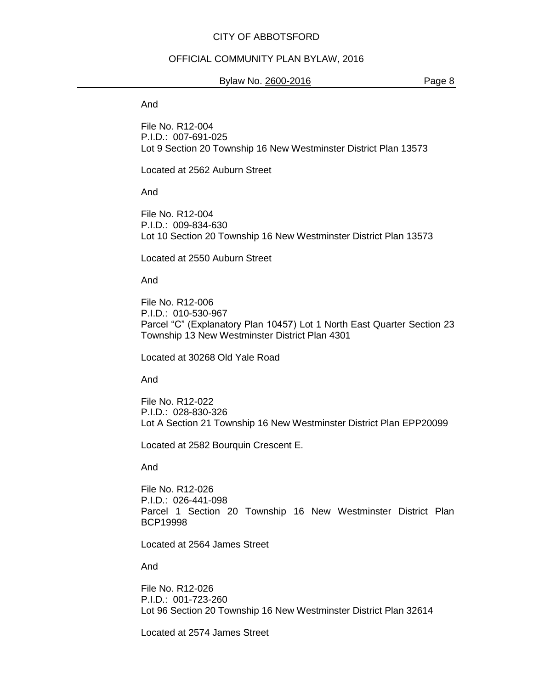#### OFFICIAL COMMUNITY PLAN BYLAW, 2016

#### Bylaw No. 2600-2016 **Page 8**

And

File No. R12-004 P.I.D.: 007-691-025 Lot 9 Section 20 Township 16 New Westminster District Plan 13573

Located at 2562 Auburn Street

And

File No. R12-004 P.I.D.: 009-834-630 Lot 10 Section 20 Township 16 New Westminster District Plan 13573

Located at 2550 Auburn Street

And

File No. R12-006 P.I.D.: 010-530-967 Parcel "C" (Explanatory Plan 10457) Lot 1 North East Quarter Section 23 Township 13 New Westminster District Plan 4301

Located at 30268 Old Yale Road

And

File No. R12-022 P.I.D.: 028-830-326 Lot A Section 21 Township 16 New Westminster District Plan EPP20099

Located at 2582 Bourquin Crescent E.

And

File No. R12-026 P.I.D.: 026-441-098 Parcel 1 Section 20 Township 16 New Westminster District Plan BCP19998

Located at 2564 James Street

And

File No. R12-026 P.I.D.: 001-723-260 Lot 96 Section 20 Township 16 New Westminster District Plan 32614

Located at 2574 James Street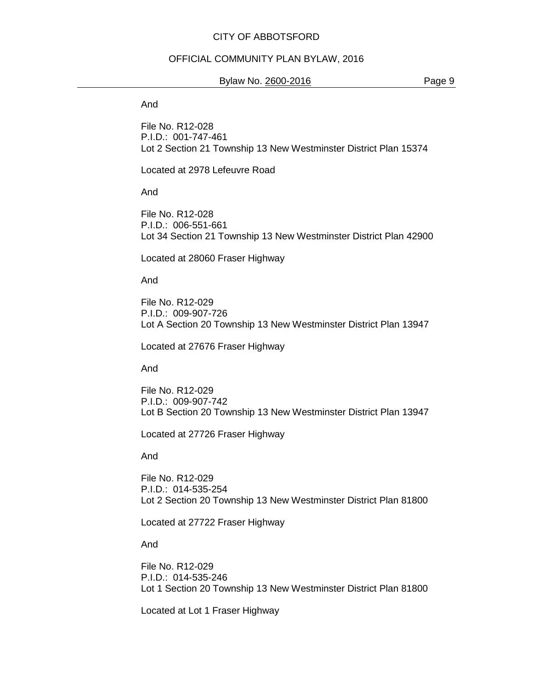#### OFFICIAL COMMUNITY PLAN BYLAW, 2016

#### Bylaw No. 2600-2016 **Page 9**

And

File No. R12-028 P.I.D.: 001-747-461 Lot 2 Section 21 Township 13 New Westminster District Plan 15374

Located at 2978 Lefeuvre Road

And

File No. R12-028 P.I.D.: 006-551-661 Lot 34 Section 21 Township 13 New Westminster District Plan 42900

Located at 28060 Fraser Highway

And

File No. R12-029 P.I.D.: 009-907-726 Lot A Section 20 Township 13 New Westminster District Plan 13947

Located at 27676 Fraser Highway

And

File No. R12-029 P.I.D.: 009-907-742 Lot B Section 20 Township 13 New Westminster District Plan 13947

Located at 27726 Fraser Highway

And

File No. R12-029 P.I.D.: 014-535-254 Lot 2 Section 20 Township 13 New Westminster District Plan 81800

Located at 27722 Fraser Highway

And

File No. R12-029 P.I.D.: 014-535-246 Lot 1 Section 20 Township 13 New Westminster District Plan 81800

Located at Lot 1 Fraser Highway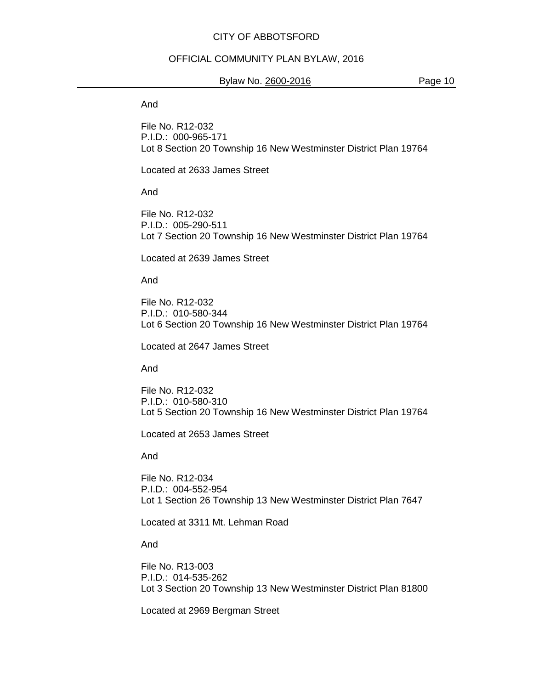#### OFFICIAL COMMUNITY PLAN BYLAW, 2016

#### Bylaw No. 2600-2016 **Page 10**

And

File No. R12-032 P.I.D.: 000-965-171 Lot 8 Section 20 Township 16 New Westminster District Plan 19764

Located at 2633 James Street

And

File No. R12-032 P.I.D.: 005-290-511 Lot 7 Section 20 Township 16 New Westminster District Plan 19764

Located at 2639 James Street

And

File No. R12-032 P.I.D.: 010-580-344 Lot 6 Section 20 Township 16 New Westminster District Plan 19764

Located at 2647 James Street

And

File No. R12-032 P.I.D.: 010-580-310 Lot 5 Section 20 Township 16 New Westminster District Plan 19764

Located at 2653 James Street

And

File No. R12-034 P.I.D.: 004-552-954 Lot 1 Section 26 Township 13 New Westminster District Plan 7647

Located at 3311 Mt. Lehman Road

And

File No. R13-003 P.I.D.: 014-535-262 Lot 3 Section 20 Township 13 New Westminster District Plan 81800

Located at 2969 Bergman Street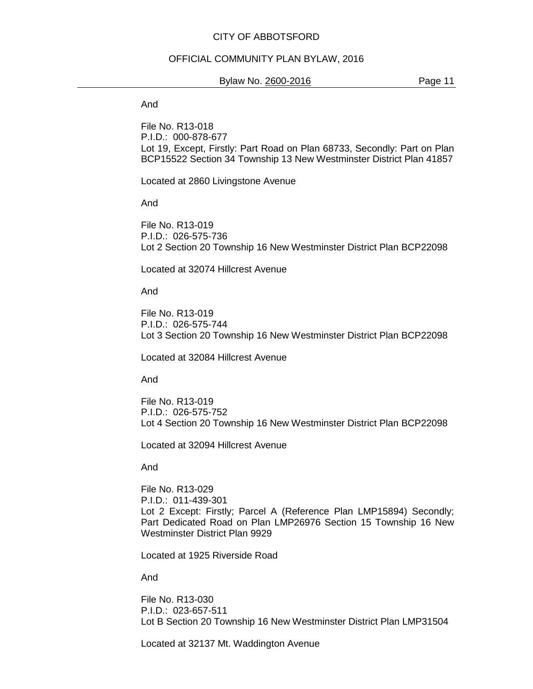#### OFFICIAL COMMUNITY PLAN BYLAW, 2016

#### Bylaw No. 2600-2016 **Page 11**

And

File No. R13-018 P.I.D.: 000-878-677 Lot 19, Except, Firstly: Part Road on Plan 68733, Secondly: Part on Plan BCP15522 Section 34 Township 13 New Westminster District Plan 41857

Located at 2860 Livingstone Avenue

And

File No. R13-019 P.I.D.: 026-575-736 Lot 2 Section 20 Township 16 New Westminster District Plan BCP22098

Located at 32074 Hillcrest Avenue

And

File No. R13-019 P.I.D.: 026-575-744 Lot 3 Section 20 Township 16 New Westminster District Plan BCP22098

Located at 32084 Hillcrest Avenue

And

File No. R13-019 P.I.D.: 026-575-752 Lot 4 Section 20 Township 16 New Westminster District Plan BCP22098

Located at 32094 Hillcrest Avenue

And

File No. R13-029 P.I.D.: 011-439-301 Lot 2 Except: Firstly; Parcel A (Reference Plan LMP15894) Secondly; Part Dedicated Road on Plan LMP26976 Section 15 Township 16 New Westminster District Plan 9929

Located at 1925 Riverside Road

And

File No. R13-030 P.I.D.: 023-657-511 Lot B Section 20 Township 16 New Westminster District Plan LMP31504

Located at 32137 Mt. Waddington Avenue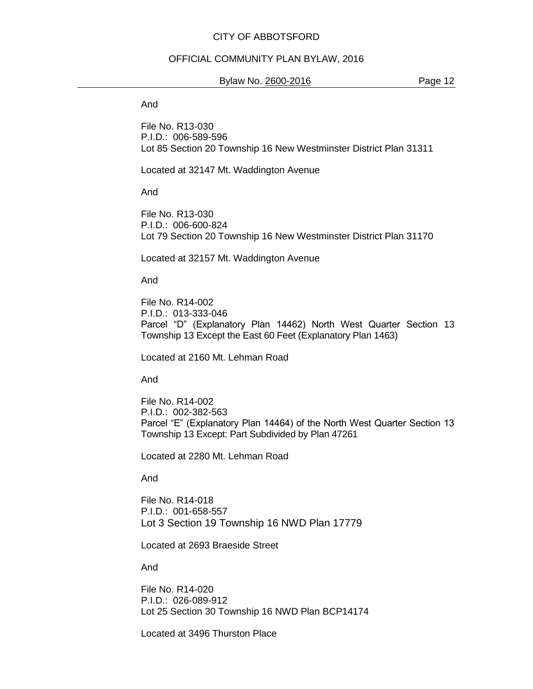#### OFFICIAL COMMUNITY PLAN BYLAW, 2016

#### Bylaw No. 2600-2016 **Page 12**

And

File No. R13-030 P.I.D.: 006-589-596 Lot 85 Section 20 Township 16 New Westminster District Plan 31311

Located at 32147 Mt. Waddington Avenue

And

File No. R13-030 P.I.D.: 006-600-824 Lot 79 Section 20 Township 16 New Westminster District Plan 31170

Located at 32157 Mt. Waddington Avenue

And

File No. R14-002 P.I.D.: 013-333-046 Parcel "D" (Explanatory Plan 14462) North West Quarter Section 13 Township 13 Except the East 60 Feet (Explanatory Plan 1463)

Located at 2160 Mt. Lehman Road

And

File No. R14-002 P.I.D.: 002-382-563 Parcel "E" (Explanatory Plan 14464) of the North West Quarter Section 13 Township 13 Except: Part Subdivided by Plan 47261

Located at 2280 Mt. Lehman Road

And

File No. R14-018 P.I.D.: 001-658-557 Lot 3 Section 19 Township 16 NWD Plan 17779

Located at 2693 Braeside Street

And

File No. R14-020 P.I.D.: 026-089-912 Lot 25 Section 30 Township 16 NWD Plan BCP14174

Located at 3496 Thurston Place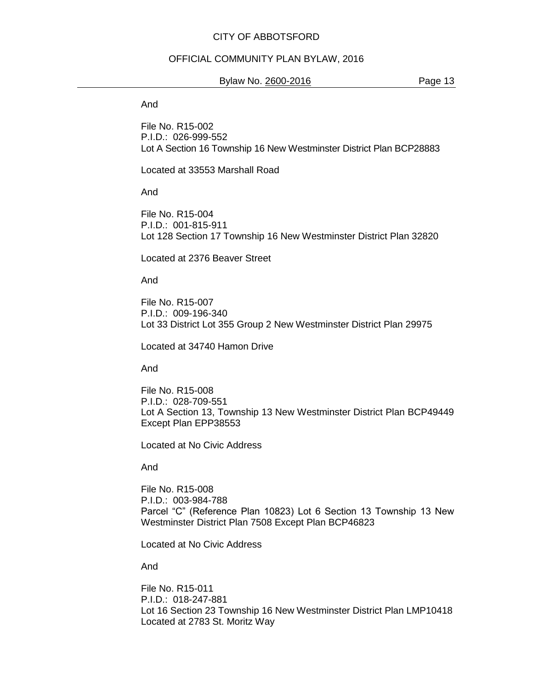#### OFFICIAL COMMUNITY PLAN BYLAW, 2016

#### Bylaw No. 2600-2016 **Page 13**

And

File No. R15-002 P.I.D.: 026-999-552 Lot A Section 16 Township 16 New Westminster District Plan BCP28883

Located at 33553 Marshall Road

And

File No. R15-004 P.I.D.: 001-815-911 Lot 128 Section 17 Township 16 New Westminster District Plan 32820

Located at 2376 Beaver Street

And

File No. R15-007 P.I.D.: 009-196-340 Lot 33 District Lot 355 Group 2 New Westminster District Plan 29975

Located at 34740 Hamon Drive

And

File No. R15-008 P.I.D.: 028-709-551 Lot A Section 13, Township 13 New Westminster District Plan BCP49449 Except Plan EPP38553

Located at No Civic Address

And

File No. R15-008 P.I.D.: 003-984-788 Parcel "C" (Reference Plan 10823) Lot 6 Section 13 Township 13 New Westminster District Plan 7508 Except Plan BCP46823

Located at No Civic Address

And

File No. R15-011 P.I.D.: 018-247-881 Lot 16 Section 23 Township 16 New Westminster District Plan LMP10418 Located at 2783 St. Moritz Way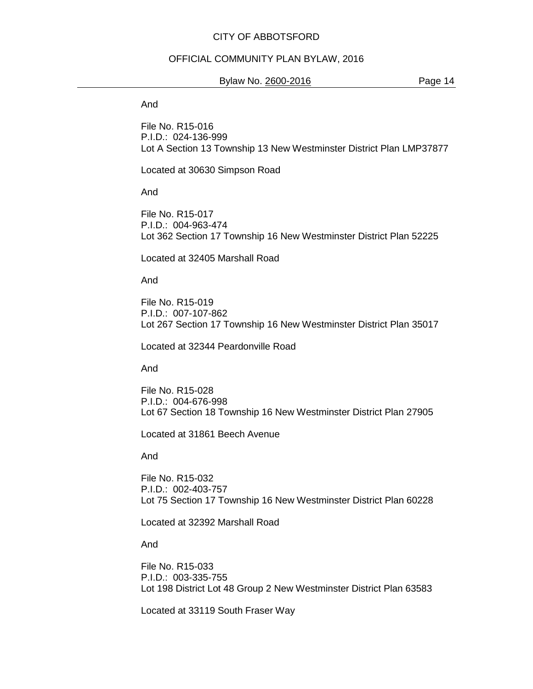#### OFFICIAL COMMUNITY PLAN BYLAW, 2016

#### Bylaw No. 2600-2016 **Page 14**

And

File No. R15-016 P.I.D.: 024-136-999 Lot A Section 13 Township 13 New Westminster District Plan LMP37877

Located at 30630 Simpson Road

And

File No. R15-017 P.I.D.: 004-963-474 Lot 362 Section 17 Township 16 New Westminster District Plan 52225

Located at 32405 Marshall Road

And

File No. R15-019 P.I.D.: 007-107-862 Lot 267 Section 17 Township 16 New Westminster District Plan 35017

Located at 32344 Peardonville Road

And

File No. R15-028 P.I.D.: 004-676-998 Lot 67 Section 18 Township 16 New Westminster District Plan 27905

Located at 31861 Beech Avenue

And

File No. R15-032 P.I.D.: 002-403-757 Lot 75 Section 17 Township 16 New Westminster District Plan 60228

Located at 32392 Marshall Road

And

File No. R15-033 P.I.D.: 003-335-755 Lot 198 District Lot 48 Group 2 New Westminster District Plan 63583

Located at 33119 South Fraser Way